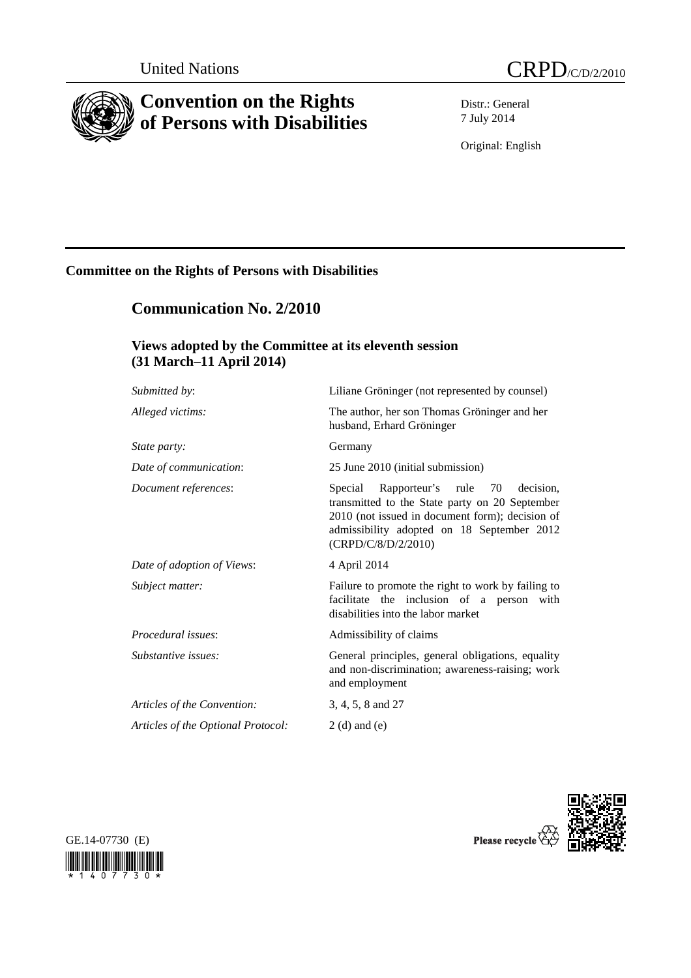



# **Convention on the Rights of Persons with Disabilities**

Distr.: General 7 July 2014

Original: English

## **Committee on the Rights of Persons with Disabilities**

## **Communication No. 2/2010**

## **Views adopted by the Committee at its eleventh session (31 March–11 April 2014)**

| Submitted by:                      | Liliane Gröninger (not represented by counsel)                                                                                                                                                                         |
|------------------------------------|------------------------------------------------------------------------------------------------------------------------------------------------------------------------------------------------------------------------|
| Alleged victims:                   | The author, her son Thomas Gröninger and her<br>husband, Erhard Gröninger                                                                                                                                              |
| <i>State party:</i>                | Germany                                                                                                                                                                                                                |
| Date of communication:             | 25 June 2010 (initial submission)                                                                                                                                                                                      |
| Document references:               | Rapporteur's rule 70<br>Special<br>decision.<br>transmitted to the State party on 20 September<br>2010 (not issued in document form); decision of<br>admissibility adopted on 18 September 2012<br>(CRPD/C/8/D/2/2010) |
| Date of adoption of Views:         | 4 April 2014                                                                                                                                                                                                           |
| Subject matter:                    | Failure to promote the right to work by failing to<br>facilitate the inclusion of a person with<br>disabilities into the labor market                                                                                  |
| Procedural issues:                 | Admissibility of claims                                                                                                                                                                                                |
| Substantive issues:                | General principles, general obligations, equality<br>and non-discrimination; awareness-raising; work<br>and employment                                                                                                 |
| Articles of the Convention:        | 3, 4, 5, 8 and 27                                                                                                                                                                                                      |
| Articles of the Optional Protocol: | $2(d)$ and $(e)$                                                                                                                                                                                                       |
|                                    |                                                                                                                                                                                                                        |





Please recycle  $\overleftrightarrow{Q}$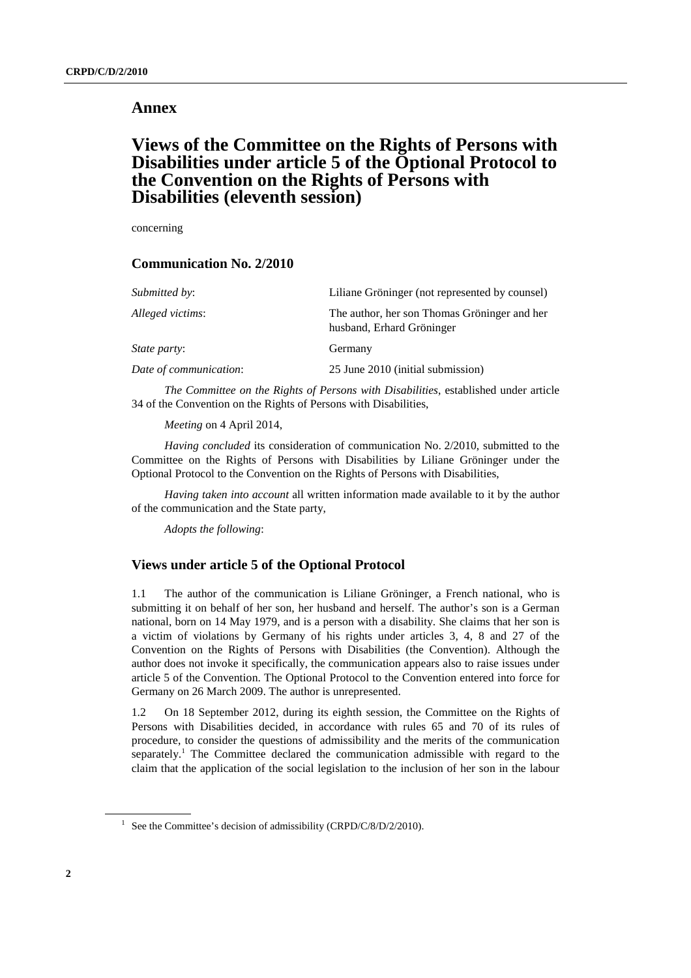## **Annex**

## **Views of the Committee on the Rights of Persons with Disabilities under article 5 of the Optional Protocol to the Convention on the Rights of Persons with Disabilities (eleventh session)**

concerning

### **Communication No. 2/2010**

| Liliane Gröninger (not represented by counsel)                            |
|---------------------------------------------------------------------------|
| The author, her son Thomas Gröninger and her<br>husband, Erhard Gröninger |
| Germany                                                                   |
| 25 June 2010 (initial submission)                                         |
|                                                                           |

*The Committee on the Rights of Persons with Disabilities*, established under article 34 of the Convention on the Rights of Persons with Disabilities,

*Meeting* on 4 April 2014,

*Having concluded* its consideration of communication No. 2/2010, submitted to the Committee on the Rights of Persons with Disabilities by Liliane Gröninger under the Optional Protocol to the Convention on the Rights of Persons with Disabilities,

*Having taken into account* all written information made available to it by the author of the communication and the State party,

*Adopts the following*:

## **Views under article 5 of the Optional Protocol**

1.1 The author of the communication is Liliane Gröninger, a French national, who is submitting it on behalf of her son, her husband and herself. The author's son is a German national, born on 14 May 1979, and is a person with a disability. She claims that her son is a victim of violations by Germany of his rights under articles 3, 4, 8 and 27 of the Convention on the Rights of Persons with Disabilities (the Convention). Although the author does not invoke it specifically, the communication appears also to raise issues under article 5 of the Convention. The Optional Protocol to the Convention entered into force for Germany on 26 March 2009. The author is unrepresented.

1.2 On 18 September 2012, during its eighth session, the Committee on the Rights of Persons with Disabilities decided, in accordance with rules 65 and 70 of its rules of procedure, to consider the questions of admissibility and the merits of the communication separately.<sup>1</sup> The Committee declared the communication admissible with regard to the claim that the application of the social legislation to the inclusion of her son in the labour

<sup>&</sup>lt;sup>1</sup> See the Committee's decision of admissibility (CRPD/C/8/D/2/2010).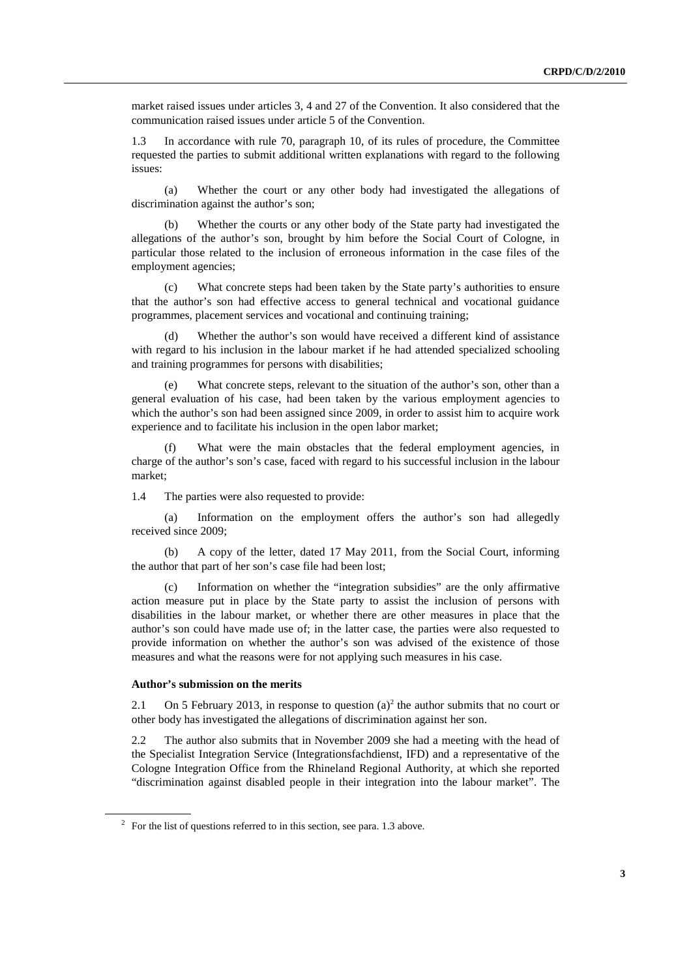market raised issues under articles 3, 4 and 27 of the Convention. It also considered that the communication raised issues under article 5 of the Convention.

1.3 In accordance with rule 70, paragraph 10, of its rules of procedure, the Committee requested the parties to submit additional written explanations with regard to the following issues:

 (a) Whether the court or any other body had investigated the allegations of discrimination against the author's son;

 (b) Whether the courts or any other body of the State party had investigated the allegations of the author's son, brought by him before the Social Court of Cologne, in particular those related to the inclusion of erroneous information in the case files of the employment agencies;

 (c) What concrete steps had been taken by the State party's authorities to ensure that the author's son had effective access to general technical and vocational guidance programmes, placement services and vocational and continuing training;

Whether the author's son would have received a different kind of assistance with regard to his inclusion in the labour market if he had attended specialized schooling and training programmes for persons with disabilities;

What concrete steps, relevant to the situation of the author's son, other than a general evaluation of his case, had been taken by the various employment agencies to which the author's son had been assigned since 2009, in order to assist him to acquire work experience and to facilitate his inclusion in the open labor market;

 (f) What were the main obstacles that the federal employment agencies, in charge of the author's son's case, faced with regard to his successful inclusion in the labour market;

1.4 The parties were also requested to provide:

 (a) Information on the employment offers the author's son had allegedly received since 2009;

 (b) A copy of the letter, dated 17 May 2011, from the Social Court, informing the author that part of her son's case file had been lost;

 (c) Information on whether the "integration subsidies" are the only affirmative action measure put in place by the State party to assist the inclusion of persons with disabilities in the labour market, or whether there are other measures in place that the author's son could have made use of; in the latter case, the parties were also requested to provide information on whether the author's son was advised of the existence of those measures and what the reasons were for not applying such measures in his case.

### **Author's submission on the merits**

2.1 On 5 February 2013, in response to question  $(a)^2$  the author submits that no court or other body has investigated the allegations of discrimination against her son.

2.2 The author also submits that in November 2009 she had a meeting with the head of the Specialist Integration Service (Integrationsfachdienst, IFD) and a representative of the Cologne Integration Office from the Rhineland Regional Authority, at which she reported "discrimination against disabled people in their integration into the labour market". The

 $2^2$  For the list of questions referred to in this section, see para. 1.3 above.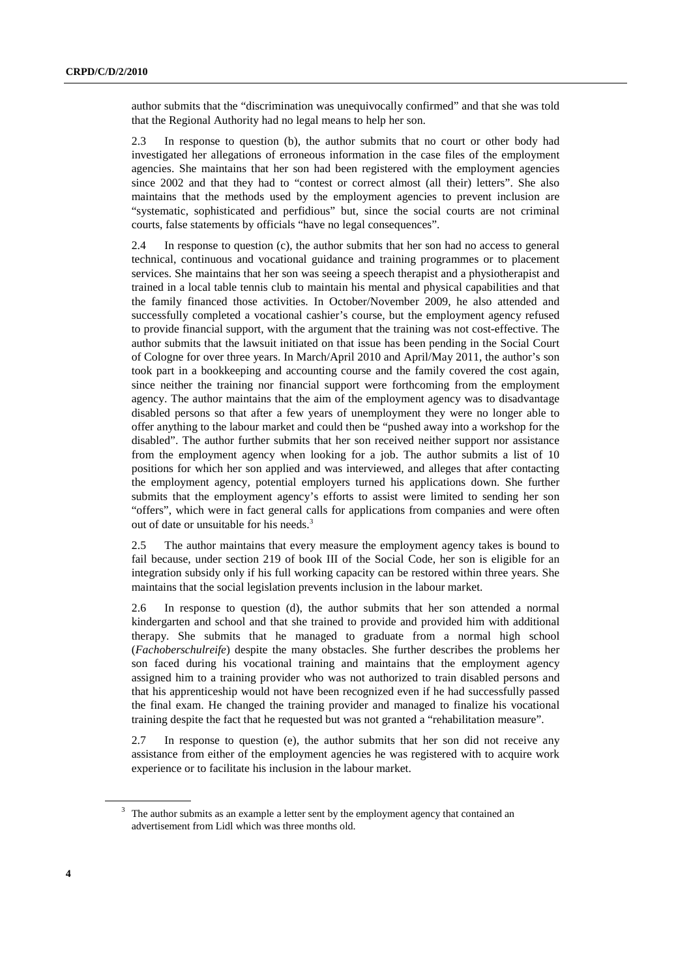author submits that the "discrimination was unequivocally confirmed" and that she was told that the Regional Authority had no legal means to help her son.

2.3 In response to question (b), the author submits that no court or other body had investigated her allegations of erroneous information in the case files of the employment agencies. She maintains that her son had been registered with the employment agencies since 2002 and that they had to "contest or correct almost (all their) letters". She also maintains that the methods used by the employment agencies to prevent inclusion are "systematic, sophisticated and perfidious" but, since the social courts are not criminal courts, false statements by officials "have no legal consequences".

2.4 In response to question (c), the author submits that her son had no access to general technical, continuous and vocational guidance and training programmes or to placement services. She maintains that her son was seeing a speech therapist and a physiotherapist and trained in a local table tennis club to maintain his mental and physical capabilities and that the family financed those activities. In October/November 2009, he also attended and successfully completed a vocational cashier's course, but the employment agency refused to provide financial support, with the argument that the training was not cost-effective. The author submits that the lawsuit initiated on that issue has been pending in the Social Court of Cologne for over three years. In March/April 2010 and April/May 2011, the author's son took part in a bookkeeping and accounting course and the family covered the cost again, since neither the training nor financial support were forthcoming from the employment agency. The author maintains that the aim of the employment agency was to disadvantage disabled persons so that after a few years of unemployment they were no longer able to offer anything to the labour market and could then be "pushed away into a workshop for the disabled". The author further submits that her son received neither support nor assistance from the employment agency when looking for a job. The author submits a list of 10 positions for which her son applied and was interviewed, and alleges that after contacting the employment agency, potential employers turned his applications down. She further submits that the employment agency's efforts to assist were limited to sending her son "offers", which were in fact general calls for applications from companies and were often out of date or unsuitable for his needs.<sup>3</sup>

2.5 The author maintains that every measure the employment agency takes is bound to fail because, under section 219 of book III of the Social Code, her son is eligible for an integration subsidy only if his full working capacity can be restored within three years. She maintains that the social legislation prevents inclusion in the labour market.

2.6 In response to question (d), the author submits that her son attended a normal kindergarten and school and that she trained to provide and provided him with additional therapy. She submits that he managed to graduate from a normal high school (*Fachoberschulreife*) despite the many obstacles. She further describes the problems her son faced during his vocational training and maintains that the employment agency assigned him to a training provider who was not authorized to train disabled persons and that his apprenticeship would not have been recognized even if he had successfully passed the final exam. He changed the training provider and managed to finalize his vocational training despite the fact that he requested but was not granted a "rehabilitation measure".

2.7 In response to question (e), the author submits that her son did not receive any assistance from either of the employment agencies he was registered with to acquire work experience or to facilitate his inclusion in the labour market.

 $3$  The author submits as an example a letter sent by the employment agency that contained an advertisement from Lidl which was three months old.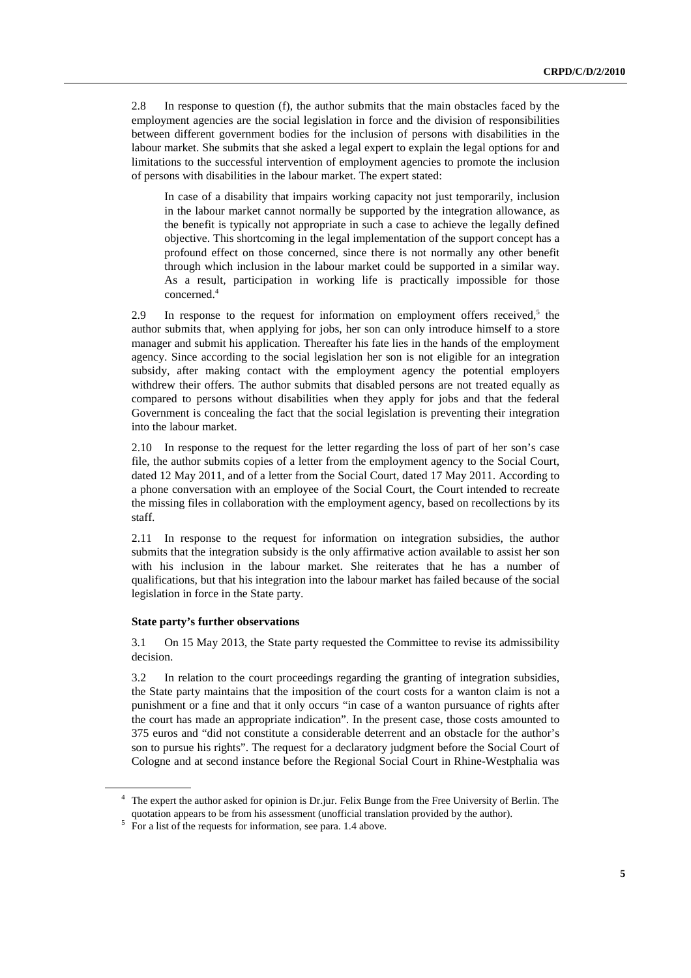2.8 In response to question (f), the author submits that the main obstacles faced by the employment agencies are the social legislation in force and the division of responsibilities between different government bodies for the inclusion of persons with disabilities in the labour market. She submits that she asked a legal expert to explain the legal options for and limitations to the successful intervention of employment agencies to promote the inclusion of persons with disabilities in the labour market. The expert stated:

In case of a disability that impairs working capacity not just temporarily, inclusion in the labour market cannot normally be supported by the integration allowance, as the benefit is typically not appropriate in such a case to achieve the legally defined objective. This shortcoming in the legal implementation of the support concept has a profound effect on those concerned, since there is not normally any other benefit through which inclusion in the labour market could be supported in a similar way. As a result, participation in working life is practically impossible for those concerned.4

2.9 In response to the request for information on employment offers received, $5$  the author submits that, when applying for jobs, her son can only introduce himself to a store manager and submit his application. Thereafter his fate lies in the hands of the employment agency. Since according to the social legislation her son is not eligible for an integration subsidy, after making contact with the employment agency the potential employers withdrew their offers. The author submits that disabled persons are not treated equally as compared to persons without disabilities when they apply for jobs and that the federal Government is concealing the fact that the social legislation is preventing their integration into the labour market.

2.10 In response to the request for the letter regarding the loss of part of her son's case file, the author submits copies of a letter from the employment agency to the Social Court, dated 12 May 2011, and of a letter from the Social Court, dated 17 May 2011. According to a phone conversation with an employee of the Social Court, the Court intended to recreate the missing files in collaboration with the employment agency, based on recollections by its staff.

2.11 In response to the request for information on integration subsidies, the author submits that the integration subsidy is the only affirmative action available to assist her son with his inclusion in the labour market. She reiterates that he has a number of qualifications, but that his integration into the labour market has failed because of the social legislation in force in the State party.

#### **State party's further observations**

3.1 On 15 May 2013, the State party requested the Committee to revise its admissibility decision.

3.2 In relation to the court proceedings regarding the granting of integration subsidies, the State party maintains that the imposition of the court costs for a wanton claim is not a punishment or a fine and that it only occurs "in case of a wanton pursuance of rights after the court has made an appropriate indication". In the present case, those costs amounted to 375 euros and "did not constitute a considerable deterrent and an obstacle for the author's son to pursue his rights". The request for a declaratory judgment before the Social Court of Cologne and at second instance before the Regional Social Court in Rhine-Westphalia was

<sup>4</sup> The expert the author asked for opinion is Dr.jur. Felix Bunge from the Free University of Berlin. The quotation appears to be from his assessment (unofficial translation provided by the author).

 $\overrightarrow{5}$  For a list of the requests for information, see para. 1.4 above.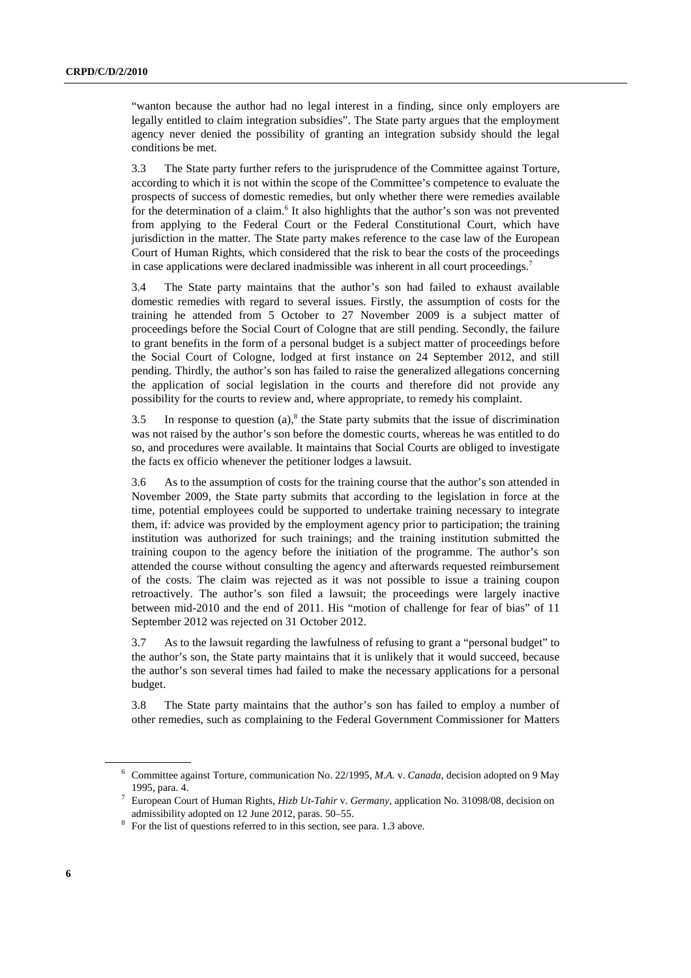"wanton because the author had no legal interest in a finding, since only employers are legally entitled to claim integration subsidies". The State party argues that the employment agency never denied the possibility of granting an integration subsidy should the legal conditions be met.

3.3 The State party further refers to the jurisprudence of the Committee against Torture, according to which it is not within the scope of the Committee's competence to evaluate the prospects of success of domestic remedies, but only whether there were remedies available for the determination of a claim.<sup>6</sup> It also highlights that the author's son was not prevented from applying to the Federal Court or the Federal Constitutional Court, which have jurisdiction in the matter. The State party makes reference to the case law of the European Court of Human Rights, which considered that the risk to bear the costs of the proceedings in case applications were declared inadmissible was inherent in all court proceedings.<sup>7</sup>

3.4 The State party maintains that the author's son had failed to exhaust available domestic remedies with regard to several issues. Firstly, the assumption of costs for the training he attended from 5 October to 27 November 2009 is a subject matter of proceedings before the Social Court of Cologne that are still pending. Secondly, the failure to grant benefits in the form of a personal budget is a subject matter of proceedings before the Social Court of Cologne, lodged at first instance on 24 September 2012, and still pending. Thirdly, the author's son has failed to raise the generalized allegations concerning the application of social legislation in the courts and therefore did not provide any possibility for the courts to review and, where appropriate, to remedy his complaint.

3.5 In response to question  $(a)$ ,<sup>8</sup> the State party submits that the issue of discrimination was not raised by the author's son before the domestic courts, whereas he was entitled to do so, and procedures were available. It maintains that Social Courts are obliged to investigate the facts ex officio whenever the petitioner lodges a lawsuit.

3.6 As to the assumption of costs for the training course that the author's son attended in November 2009, the State party submits that according to the legislation in force at the time, potential employees could be supported to undertake training necessary to integrate them, if: advice was provided by the employment agency prior to participation; the training institution was authorized for such trainings; and the training institution submitted the training coupon to the agency before the initiation of the programme. The author's son attended the course without consulting the agency and afterwards requested reimbursement of the costs. The claim was rejected as it was not possible to issue a training coupon retroactively. The author's son filed a lawsuit; the proceedings were largely inactive between mid-2010 and the end of 2011. His "motion of challenge for fear of bias" of 11 September 2012 was rejected on 31 October 2012.

3.7 As to the lawsuit regarding the lawfulness of refusing to grant a "personal budget" to the author's son, the State party maintains that it is unlikely that it would succeed, because the author's son several times had failed to make the necessary applications for a personal budget.

3.8 The State party maintains that the author's son has failed to employ a number of other remedies, such as complaining to the Federal Government Commissioner for Matters

<sup>6</sup> Committee against Torture, communication No. 22/1995, *M.A.* v. *Canada*, decision adopted on 9 May

<sup>1995,</sup> para. 4. 7 European Court of Human Rights, *Hizb Ut-Tahir* v. *Germany*, application No. 31098/08, decision on admissibility adopted on 12 June 2012, paras. 50–55.

<sup>&</sup>lt;sup>8</sup> For the list of questions referred to in this section, see para. 1.3 above.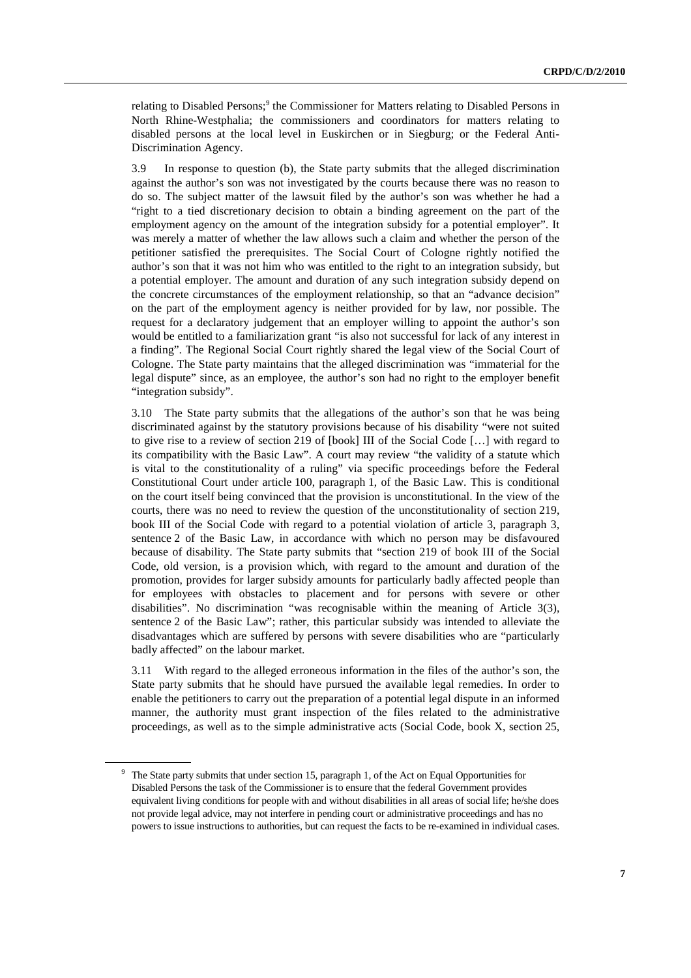relating to Disabled Persons;<sup>9</sup> the Commissioner for Matters relating to Disabled Persons in North Rhine-Westphalia; the commissioners and coordinators for matters relating to disabled persons at the local level in Euskirchen or in Siegburg; or the Federal Anti-Discrimination Agency.

3.9 In response to question (b), the State party submits that the alleged discrimination against the author's son was not investigated by the courts because there was no reason to do so. The subject matter of the lawsuit filed by the author's son was whether he had a "right to a tied discretionary decision to obtain a binding agreement on the part of the employment agency on the amount of the integration subsidy for a potential employer". It was merely a matter of whether the law allows such a claim and whether the person of the petitioner satisfied the prerequisites. The Social Court of Cologne rightly notified the author's son that it was not him who was entitled to the right to an integration subsidy, but a potential employer. The amount and duration of any such integration subsidy depend on the concrete circumstances of the employment relationship, so that an "advance decision" on the part of the employment agency is neither provided for by law, nor possible. The request for a declaratory judgement that an employer willing to appoint the author's son would be entitled to a familiarization grant "is also not successful for lack of any interest in a finding". The Regional Social Court rightly shared the legal view of the Social Court of Cologne. The State party maintains that the alleged discrimination was "immaterial for the legal dispute" since, as an employee, the author's son had no right to the employer benefit "integration subsidy".

3.10 The State party submits that the allegations of the author's son that he was being discriminated against by the statutory provisions because of his disability "were not suited to give rise to a review of section 219 of [book] III of the Social Code […] with regard to its compatibility with the Basic Law". A court may review "the validity of a statute which is vital to the constitutionality of a ruling" via specific proceedings before the Federal Constitutional Court under article 100, paragraph 1, of the Basic Law. This is conditional on the court itself being convinced that the provision is unconstitutional. In the view of the courts, there was no need to review the question of the unconstitutionality of section 219, book III of the Social Code with regard to a potential violation of article 3, paragraph 3, sentence 2 of the Basic Law, in accordance with which no person may be disfavoured because of disability. The State party submits that "section 219 of book III of the Social Code, old version, is a provision which, with regard to the amount and duration of the promotion, provides for larger subsidy amounts for particularly badly affected people than for employees with obstacles to placement and for persons with severe or other disabilities". No discrimination "was recognisable within the meaning of Article 3(3), sentence 2 of the Basic Law"; rather, this particular subsidy was intended to alleviate the disadvantages which are suffered by persons with severe disabilities who are "particularly badly affected" on the labour market.

3.11 With regard to the alleged erroneous information in the files of the author's son, the State party submits that he should have pursued the available legal remedies. In order to enable the petitioners to carry out the preparation of a potential legal dispute in an informed manner, the authority must grant inspection of the files related to the administrative proceedings, as well as to the simple administrative acts (Social Code, book X, section 25,

<sup>&</sup>lt;sup>9</sup> The State party submits that under section 15, paragraph 1, of the Act on Equal Opportunities for Disabled Persons the task of the Commissioner is to ensure that the federal Government provides equivalent living conditions for people with and without disabilities in all areas of social life; he/she does not provide legal advice, may not interfere in pending court or administrative proceedings and has no powers to issue instructions to authorities, but can request the facts to be re-examined in individual cases.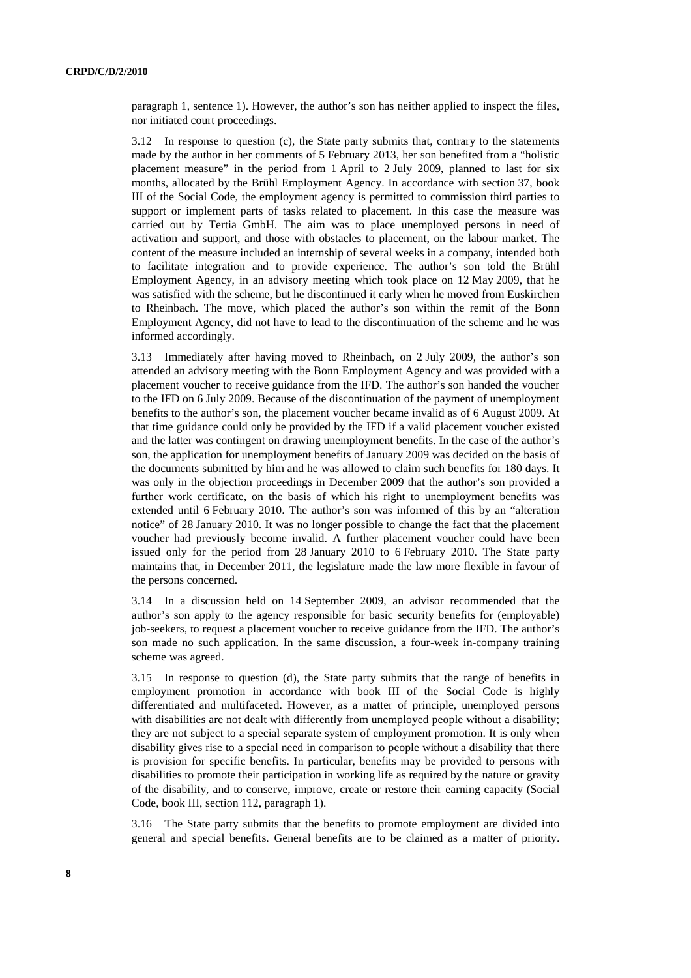paragraph 1, sentence 1). However, the author's son has neither applied to inspect the files, nor initiated court proceedings.

3.12 In response to question (c), the State party submits that, contrary to the statements made by the author in her comments of 5 February 2013, her son benefited from a "holistic placement measure" in the period from 1 April to 2 July 2009, planned to last for six months, allocated by the Brühl Employment Agency. In accordance with section 37, book III of the Social Code, the employment agency is permitted to commission third parties to support or implement parts of tasks related to placement. In this case the measure was carried out by Tertia GmbH. The aim was to place unemployed persons in need of activation and support, and those with obstacles to placement, on the labour market. The content of the measure included an internship of several weeks in a company, intended both to facilitate integration and to provide experience. The author's son told the Brühl Employment Agency, in an advisory meeting which took place on 12 May 2009, that he was satisfied with the scheme, but he discontinued it early when he moved from Euskirchen to Rheinbach. The move, which placed the author's son within the remit of the Bonn Employment Agency, did not have to lead to the discontinuation of the scheme and he was informed accordingly.

3.13 Immediately after having moved to Rheinbach, on 2 July 2009, the author's son attended an advisory meeting with the Bonn Employment Agency and was provided with a placement voucher to receive guidance from the IFD. The author's son handed the voucher to the IFD on 6 July 2009. Because of the discontinuation of the payment of unemployment benefits to the author's son, the placement voucher became invalid as of 6 August 2009. At that time guidance could only be provided by the IFD if a valid placement voucher existed and the latter was contingent on drawing unemployment benefits. In the case of the author's son, the application for unemployment benefits of January 2009 was decided on the basis of the documents submitted by him and he was allowed to claim such benefits for 180 days. It was only in the objection proceedings in December 2009 that the author's son provided a further work certificate, on the basis of which his right to unemployment benefits was extended until 6 February 2010. The author's son was informed of this by an "alteration notice" of 28 January 2010. It was no longer possible to change the fact that the placement voucher had previously become invalid. A further placement voucher could have been issued only for the period from 28 January 2010 to 6 February 2010. The State party maintains that, in December 2011, the legislature made the law more flexible in favour of the persons concerned.

3.14 In a discussion held on 14 September 2009, an advisor recommended that the author's son apply to the agency responsible for basic security benefits for (employable) job-seekers, to request a placement voucher to receive guidance from the IFD. The author's son made no such application. In the same discussion, a four-week in-company training scheme was agreed.

3.15 In response to question (d), the State party submits that the range of benefits in employment promotion in accordance with book III of the Social Code is highly differentiated and multifaceted. However, as a matter of principle, unemployed persons with disabilities are not dealt with differently from unemployed people without a disability; they are not subject to a special separate system of employment promotion. It is only when disability gives rise to a special need in comparison to people without a disability that there is provision for specific benefits. In particular, benefits may be provided to persons with disabilities to promote their participation in working life as required by the nature or gravity of the disability, and to conserve, improve, create or restore their earning capacity (Social Code, book III, section 112, paragraph 1).

3.16 The State party submits that the benefits to promote employment are divided into general and special benefits. General benefits are to be claimed as a matter of priority.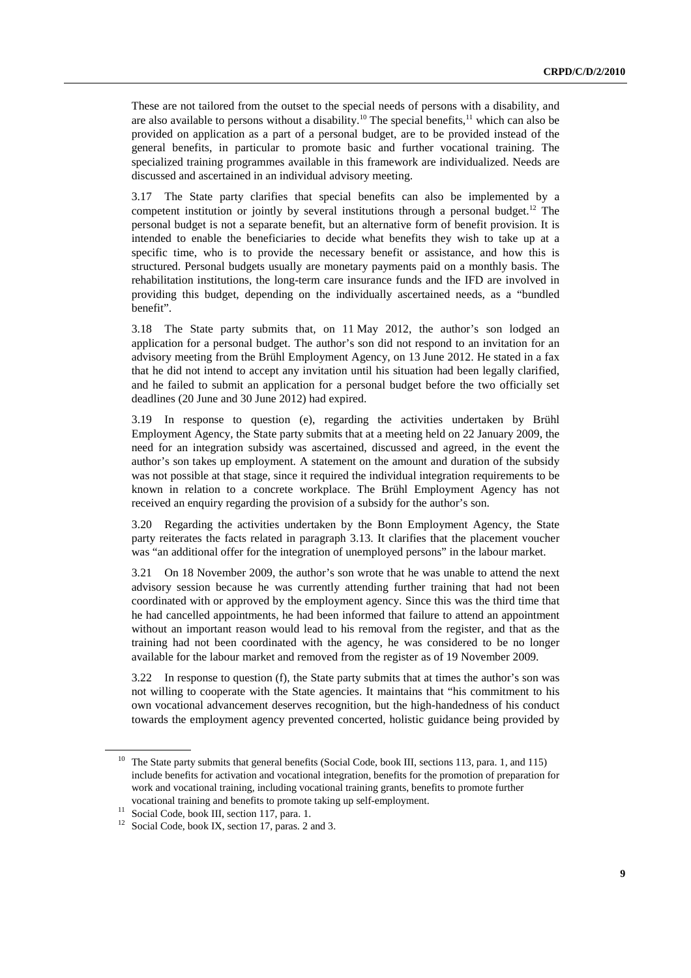These are not tailored from the outset to the special needs of persons with a disability, and are also available to persons without a disability.<sup>10</sup> The special benefits,<sup>11</sup> which can also be provided on application as a part of a personal budget, are to be provided instead of the general benefits, in particular to promote basic and further vocational training. The specialized training programmes available in this framework are individualized. Needs are discussed and ascertained in an individual advisory meeting.

3.17 The State party clarifies that special benefits can also be implemented by a competent institution or jointly by several institutions through a personal budget.<sup>12</sup> The personal budget is not a separate benefit, but an alternative form of benefit provision. It is intended to enable the beneficiaries to decide what benefits they wish to take up at a specific time, who is to provide the necessary benefit or assistance, and how this is structured. Personal budgets usually are monetary payments paid on a monthly basis. The rehabilitation institutions, the long-term care insurance funds and the IFD are involved in providing this budget, depending on the individually ascertained needs, as a "bundled benefit".

3.18 The State party submits that, on 11 May 2012, the author's son lodged an application for a personal budget. The author's son did not respond to an invitation for an advisory meeting from the Brühl Employment Agency, on 13 June 2012. He stated in a fax that he did not intend to accept any invitation until his situation had been legally clarified, and he failed to submit an application for a personal budget before the two officially set deadlines (20 June and 30 June 2012) had expired.

3.19 In response to question (e), regarding the activities undertaken by Brühl Employment Agency, the State party submits that at a meeting held on 22 January 2009, the need for an integration subsidy was ascertained, discussed and agreed, in the event the author's son takes up employment. A statement on the amount and duration of the subsidy was not possible at that stage, since it required the individual integration requirements to be known in relation to a concrete workplace. The Brühl Employment Agency has not received an enquiry regarding the provision of a subsidy for the author's son.

3.20 Regarding the activities undertaken by the Bonn Employment Agency, the State party reiterates the facts related in paragraph 3.13. It clarifies that the placement voucher was "an additional offer for the integration of unemployed persons" in the labour market.

3.21 On 18 November 2009, the author's son wrote that he was unable to attend the next advisory session because he was currently attending further training that had not been coordinated with or approved by the employment agency. Since this was the third time that he had cancelled appointments, he had been informed that failure to attend an appointment without an important reason would lead to his removal from the register, and that as the training had not been coordinated with the agency, he was considered to be no longer available for the labour market and removed from the register as of 19 November 2009.

3.22 In response to question (f), the State party submits that at times the author's son was not willing to cooperate with the State agencies. It maintains that "his commitment to his own vocational advancement deserves recognition, but the high-handedness of his conduct towards the employment agency prevented concerted, holistic guidance being provided by

<sup>&</sup>lt;sup>10</sup> The State party submits that general benefits (Social Code, book III, sections 113, para. 1, and 115) include benefits for activation and vocational integration, benefits for the promotion of preparation for work and vocational training, including vocational training grants, benefits to promote further vocational training and benefits to promote taking up self-employment. 11 Social Code, book III, section 117, para. 1.

<sup>&</sup>lt;sup>12</sup> Social Code, book IX, section 17, paras. 2 and 3.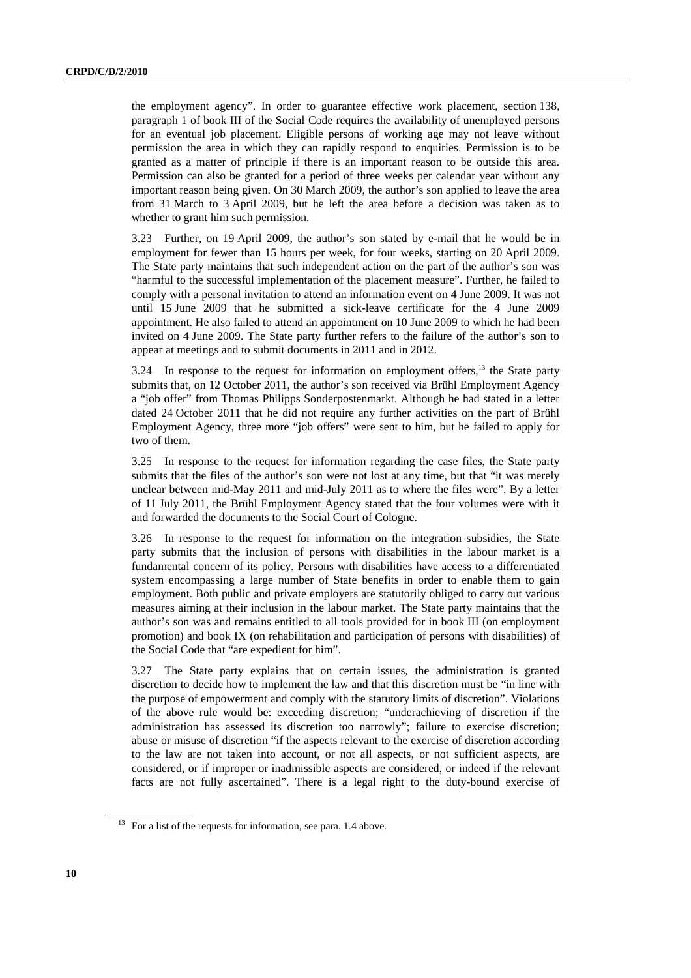the employment agency". In order to guarantee effective work placement, section 138, paragraph 1 of book III of the Social Code requires the availability of unemployed persons for an eventual job placement. Eligible persons of working age may not leave without permission the area in which they can rapidly respond to enquiries. Permission is to be granted as a matter of principle if there is an important reason to be outside this area. Permission can also be granted for a period of three weeks per calendar year without any important reason being given. On 30 March 2009, the author's son applied to leave the area from 31 March to 3 April 2009, but he left the area before a decision was taken as to whether to grant him such permission.

3.23 Further, on 19 April 2009, the author's son stated by e-mail that he would be in employment for fewer than 15 hours per week, for four weeks, starting on 20 April 2009. The State party maintains that such independent action on the part of the author's son was "harmful to the successful implementation of the placement measure". Further, he failed to comply with a personal invitation to attend an information event on 4 June 2009. It was not until 15 June 2009 that he submitted a sick-leave certificate for the 4 June 2009 appointment. He also failed to attend an appointment on 10 June 2009 to which he had been invited on 4 June 2009. The State party further refers to the failure of the author's son to appear at meetings and to submit documents in 2011 and in 2012.

 $3.24$  In response to the request for information on employment offers,<sup>13</sup> the State party submits that, on 12 October 2011, the author's son received via Brühl Employment Agency a "job offer" from Thomas Philipps Sonderpostenmarkt. Although he had stated in a letter dated 24 October 2011 that he did not require any further activities on the part of Brühl Employment Agency, three more "job offers" were sent to him, but he failed to apply for two of them.

3.25 In response to the request for information regarding the case files, the State party submits that the files of the author's son were not lost at any time, but that "it was merely unclear between mid-May 2011 and mid-July 2011 as to where the files were". By a letter of 11 July 2011, the Brühl Employment Agency stated that the four volumes were with it and forwarded the documents to the Social Court of Cologne.

3.26 In response to the request for information on the integration subsidies, the State party submits that the inclusion of persons with disabilities in the labour market is a fundamental concern of its policy. Persons with disabilities have access to a differentiated system encompassing a large number of State benefits in order to enable them to gain employment. Both public and private employers are statutorily obliged to carry out various measures aiming at their inclusion in the labour market. The State party maintains that the author's son was and remains entitled to all tools provided for in book III (on employment promotion) and book IX (on rehabilitation and participation of persons with disabilities) of the Social Code that "are expedient for him".

3.27 The State party explains that on certain issues, the administration is granted discretion to decide how to implement the law and that this discretion must be "in line with the purpose of empowerment and comply with the statutory limits of discretion". Violations of the above rule would be: exceeding discretion; "underachieving of discretion if the administration has assessed its discretion too narrowly"; failure to exercise discretion; abuse or misuse of discretion "if the aspects relevant to the exercise of discretion according to the law are not taken into account, or not all aspects, or not sufficient aspects, are considered, or if improper or inadmissible aspects are considered, or indeed if the relevant facts are not fully ascertained". There is a legal right to the duty-bound exercise of

<sup>&</sup>lt;sup>13</sup> For a list of the requests for information, see para. 1.4 above.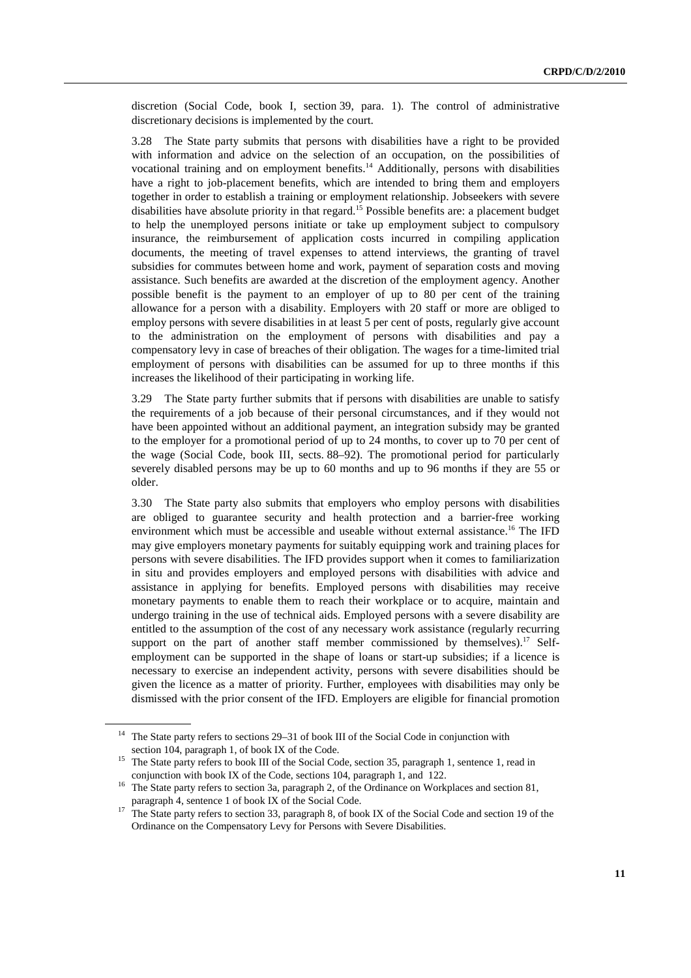discretion (Social Code, book I, section 39, para. 1). The control of administrative discretionary decisions is implemented by the court.

3.28 The State party submits that persons with disabilities have a right to be provided with information and advice on the selection of an occupation, on the possibilities of vocational training and on employment benefits.<sup>14</sup> Additionally, persons with disabilities have a right to job-placement benefits, which are intended to bring them and employers together in order to establish a training or employment relationship. Jobseekers with severe disabilities have absolute priority in that regard.<sup>15</sup> Possible benefits are: a placement budget to help the unemployed persons initiate or take up employment subject to compulsory insurance, the reimbursement of application costs incurred in compiling application documents, the meeting of travel expenses to attend interviews, the granting of travel subsidies for commutes between home and work, payment of separation costs and moving assistance*.* Such benefits are awarded at the discretion of the employment agency. Another possible benefit is the payment to an employer of up to 80 per cent of the training allowance for a person with a disability. Employers with 20 staff or more are obliged to employ persons with severe disabilities in at least 5 per cent of posts, regularly give account to the administration on the employment of persons with disabilities and pay a compensatory levy in case of breaches of their obligation. The wages for a time-limited trial employment of persons with disabilities can be assumed for up to three months if this increases the likelihood of their participating in working life.

3.29 The State party further submits that if persons with disabilities are unable to satisfy the requirements of a job because of their personal circumstances, and if they would not have been appointed without an additional payment, an integration subsidy may be granted to the employer for a promotional period of up to 24 months, to cover up to 70 per cent of the wage (Social Code, book III, sects. 88–92). The promotional period for particularly severely disabled persons may be up to 60 months and up to 96 months if they are 55 or older.

3.30 The State party also submits that employers who employ persons with disabilities are obliged to guarantee security and health protection and a barrier-free working environment which must be accessible and useable without external assistance.<sup>16</sup> The IFD may give employers monetary payments for suitably equipping work and training places for persons with severe disabilities. The IFD provides support when it comes to familiarization in situ and provides employers and employed persons with disabilities with advice and assistance in applying for benefits. Employed persons with disabilities may receive monetary payments to enable them to reach their workplace or to acquire, maintain and undergo training in the use of technical aids. Employed persons with a severe disability are entitled to the assumption of the cost of any necessary work assistance (regularly recurring support on the part of another staff member commissioned by themselves).<sup>17</sup> Selfemployment can be supported in the shape of loans or start-up subsidies; if a licence is necessary to exercise an independent activity, persons with severe disabilities should be given the licence as a matter of priority. Further, employees with disabilities may only be dismissed with the prior consent of the IFD. Employers are eligible for financial promotion

<sup>&</sup>lt;sup>14</sup> The State party refers to sections 29-31 of book III of the Social Code in conjunction with

section 104, paragraph 1, of book IX of the Code.<br><sup>15</sup> The State party refers to book III of the Social Code, section 35, paragraph 1, sentence 1, read in

conjunction with book IX of the Code, sections 104, paragraph 1, and 122.<br><sup>16</sup> The State party refers to section 3a, paragraph 2, of the Ordinance on Workplaces and section 81,

paragraph 4, sentence 1 of book IX of the Social Code.<br><sup>17</sup> The State party refers to section 33, paragraph 8, of book IX of the Social Code and section 19 of the Ordinance on the Compensatory Levy for Persons with Severe Disabilities.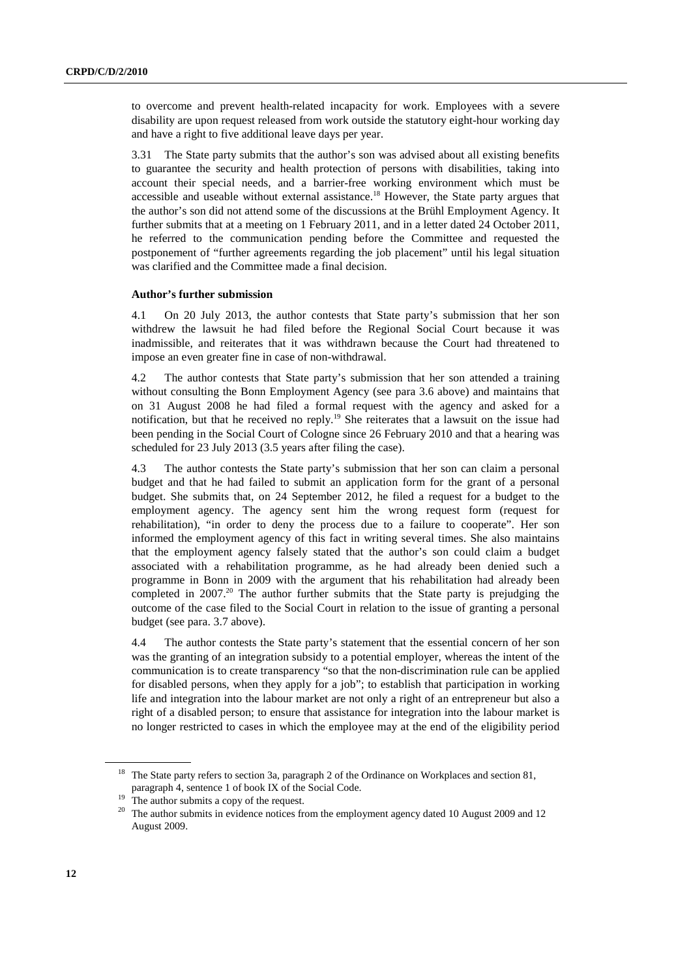to overcome and prevent health-related incapacity for work. Employees with a severe disability are upon request released from work outside the statutory eight-hour working day and have a right to five additional leave days per year.

3.31 The State party submits that the author's son was advised about all existing benefits to guarantee the security and health protection of persons with disabilities, taking into account their special needs, and a barrier-free working environment which must be accessible and useable without external assistance.<sup>18</sup> However, the State party argues that the author's son did not attend some of the discussions at the Brühl Employment Agency. It further submits that at a meeting on 1 February 2011, and in a letter dated 24 October 2011, he referred to the communication pending before the Committee and requested the postponement of "further agreements regarding the job placement" until his legal situation was clarified and the Committee made a final decision.

### **Author's further submission**

4.1 On 20 July 2013, the author contests that State party's submission that her son withdrew the lawsuit he had filed before the Regional Social Court because it was inadmissible, and reiterates that it was withdrawn because the Court had threatened to impose an even greater fine in case of non-withdrawal.

4.2 The author contests that State party's submission that her son attended a training without consulting the Bonn Employment Agency (see para 3.6 above) and maintains that on 31 August 2008 he had filed a formal request with the agency and asked for a notification, but that he received no reply.19 She reiterates that a lawsuit on the issue had been pending in the Social Court of Cologne since 26 February 2010 and that a hearing was scheduled for 23 July 2013 (3.5 years after filing the case).

4.3 The author contests the State party's submission that her son can claim a personal budget and that he had failed to submit an application form for the grant of a personal budget. She submits that, on 24 September 2012, he filed a request for a budget to the employment agency. The agency sent him the wrong request form (request for rehabilitation), "in order to deny the process due to a failure to cooperate". Her son informed the employment agency of this fact in writing several times. She also maintains that the employment agency falsely stated that the author's son could claim a budget associated with a rehabilitation programme, as he had already been denied such a programme in Bonn in 2009 with the argument that his rehabilitation had already been completed in  $2007<sup>20</sup>$ . The author further submits that the State party is prejudging the outcome of the case filed to the Social Court in relation to the issue of granting a personal budget (see para. 3.7 above).

4.4 The author contests the State party's statement that the essential concern of her son was the granting of an integration subsidy to a potential employer, whereas the intent of the communication is to create transparency "so that the non-discrimination rule can be applied for disabled persons, when they apply for a job"; to establish that participation in working life and integration into the labour market are not only a right of an entrepreneur but also a right of a disabled person; to ensure that assistance for integration into the labour market is no longer restricted to cases in which the employee may at the end of the eligibility period

<sup>&</sup>lt;sup>18</sup> The State party refers to section 3a, paragraph 2 of the Ordinance on Workplaces and section 81, paragraph 4, sentence 1 of book IX of the Social Code.<br><sup>19</sup> The author submits a copy of the request.

<sup>&</sup>lt;sup>20</sup> The author submits in evidence notices from the employment agency dated 10 August 2009 and 12 August 2009.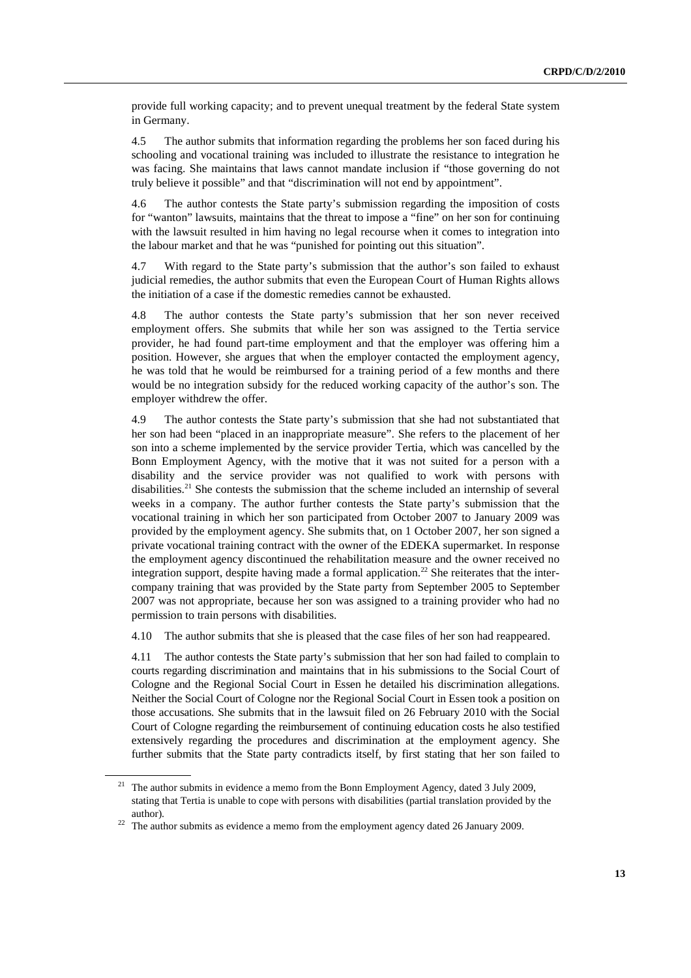provide full working capacity; and to prevent unequal treatment by the federal State system in Germany.

4.5 The author submits that information regarding the problems her son faced during his schooling and vocational training was included to illustrate the resistance to integration he was facing. She maintains that laws cannot mandate inclusion if "those governing do not truly believe it possible" and that "discrimination will not end by appointment".

4.6 The author contests the State party's submission regarding the imposition of costs for "wanton" lawsuits, maintains that the threat to impose a "fine" on her son for continuing with the lawsuit resulted in him having no legal recourse when it comes to integration into the labour market and that he was "punished for pointing out this situation".

4.7 With regard to the State party's submission that the author's son failed to exhaust judicial remedies, the author submits that even the European Court of Human Rights allows the initiation of a case if the domestic remedies cannot be exhausted.

4.8 The author contests the State party's submission that her son never received employment offers. She submits that while her son was assigned to the Tertia service provider, he had found part-time employment and that the employer was offering him a position. However, she argues that when the employer contacted the employment agency, he was told that he would be reimbursed for a training period of a few months and there would be no integration subsidy for the reduced working capacity of the author's son. The employer withdrew the offer.

4.9 The author contests the State party's submission that she had not substantiated that her son had been "placed in an inappropriate measure". She refers to the placement of her son into a scheme implemented by the service provider Tertia, which was cancelled by the Bonn Employment Agency, with the motive that it was not suited for a person with a disability and the service provider was not qualified to work with persons with disabilities.<sup>21</sup> She contests the submission that the scheme included an internship of several weeks in a company. The author further contests the State party's submission that the vocational training in which her son participated from October 2007 to January 2009 was provided by the employment agency. She submits that, on 1 October 2007, her son signed a private vocational training contract with the owner of the EDEKA supermarket. In response the employment agency discontinued the rehabilitation measure and the owner received no integration support, despite having made a formal application.<sup>22</sup> She reiterates that the intercompany training that was provided by the State party from September 2005 to September 2007 was not appropriate, because her son was assigned to a training provider who had no permission to train persons with disabilities.

4.10 The author submits that she is pleased that the case files of her son had reappeared.

4.11 The author contests the State party's submission that her son had failed to complain to courts regarding discrimination and maintains that in his submissions to the Social Court of Cologne and the Regional Social Court in Essen he detailed his discrimination allegations. Neither the Social Court of Cologne nor the Regional Social Court in Essen took a position on those accusations. She submits that in the lawsuit filed on 26 February 2010 with the Social Court of Cologne regarding the reimbursement of continuing education costs he also testified extensively regarding the procedures and discrimination at the employment agency. She further submits that the State party contradicts itself, by first stating that her son failed to

<sup>&</sup>lt;sup>21</sup> The author submits in evidence a memo from the Bonn Employment Agency, dated 3 July 2009, stating that Tertia is unable to cope with persons with disabilities (partial translation provided by the author). 22 The author submits as evidence a memo from the employment agency dated 26 January 2009.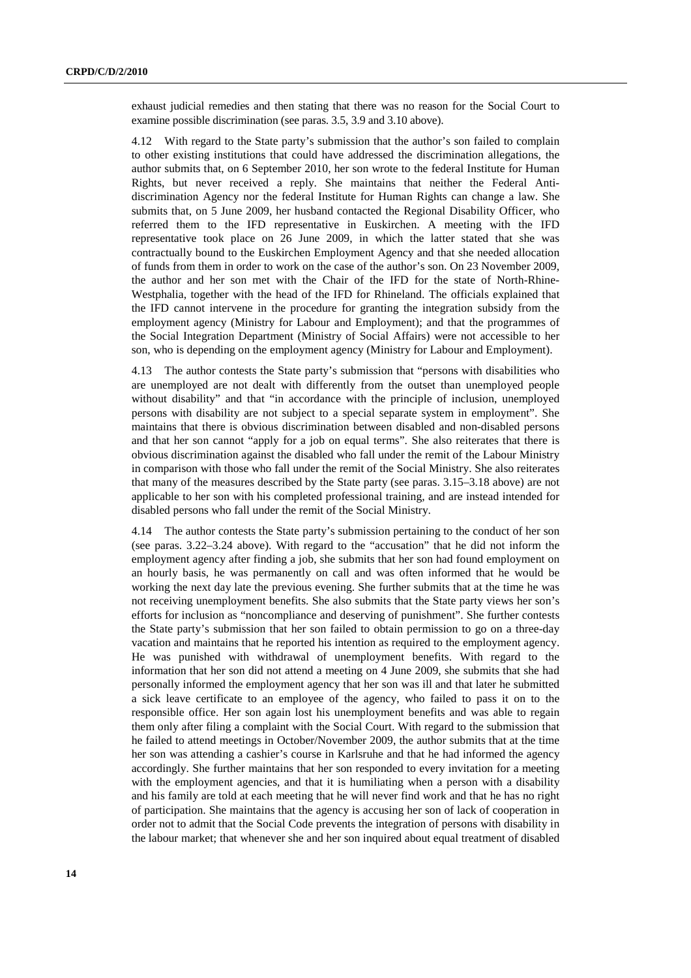exhaust judicial remedies and then stating that there was no reason for the Social Court to examine possible discrimination (see paras. 3.5, 3.9 and 3.10 above).

4.12 With regard to the State party's submission that the author's son failed to complain to other existing institutions that could have addressed the discrimination allegations, the author submits that, on 6 September 2010, her son wrote to the federal Institute for Human Rights, but never received a reply. She maintains that neither the Federal Antidiscrimination Agency nor the federal Institute for Human Rights can change a law. She submits that, on 5 June 2009, her husband contacted the Regional Disability Officer, who referred them to the IFD representative in Euskirchen. A meeting with the IFD representative took place on 26 June 2009, in which the latter stated that she was contractually bound to the Euskirchen Employment Agency and that she needed allocation of funds from them in order to work on the case of the author's son. On 23 November 2009, the author and her son met with the Chair of the IFD for the state of North-Rhine-Westphalia, together with the head of the IFD for Rhineland. The officials explained that the IFD cannot intervene in the procedure for granting the integration subsidy from the employment agency (Ministry for Labour and Employment); and that the programmes of the Social Integration Department (Ministry of Social Affairs) were not accessible to her son, who is depending on the employment agency (Ministry for Labour and Employment).

4.13 The author contests the State party's submission that "persons with disabilities who are unemployed are not dealt with differently from the outset than unemployed people without disability" and that "in accordance with the principle of inclusion, unemployed persons with disability are not subject to a special separate system in employment". She maintains that there is obvious discrimination between disabled and non-disabled persons and that her son cannot "apply for a job on equal terms". She also reiterates that there is obvious discrimination against the disabled who fall under the remit of the Labour Ministry in comparison with those who fall under the remit of the Social Ministry. She also reiterates that many of the measures described by the State party (see paras. 3.15–3.18 above) are not applicable to her son with his completed professional training, and are instead intended for disabled persons who fall under the remit of the Social Ministry.

4.14 The author contests the State party's submission pertaining to the conduct of her son (see paras. 3.22–3.24 above). With regard to the "accusation" that he did not inform the employment agency after finding a job, she submits that her son had found employment on an hourly basis, he was permanently on call and was often informed that he would be working the next day late the previous evening. She further submits that at the time he was not receiving unemployment benefits. She also submits that the State party views her son's efforts for inclusion as "noncompliance and deserving of punishment". She further contests the State party's submission that her son failed to obtain permission to go on a three-day vacation and maintains that he reported his intention as required to the employment agency. He was punished with withdrawal of unemployment benefits. With regard to the information that her son did not attend a meeting on 4 June 2009, she submits that she had personally informed the employment agency that her son was ill and that later he submitted a sick leave certificate to an employee of the agency, who failed to pass it on to the responsible office. Her son again lost his unemployment benefits and was able to regain them only after filing a complaint with the Social Court. With regard to the submission that he failed to attend meetings in October/November 2009, the author submits that at the time her son was attending a cashier's course in Karlsruhe and that he had informed the agency accordingly. She further maintains that her son responded to every invitation for a meeting with the employment agencies, and that it is humiliating when a person with a disability and his family are told at each meeting that he will never find work and that he has no right of participation. She maintains that the agency is accusing her son of lack of cooperation in order not to admit that the Social Code prevents the integration of persons with disability in the labour market; that whenever she and her son inquired about equal treatment of disabled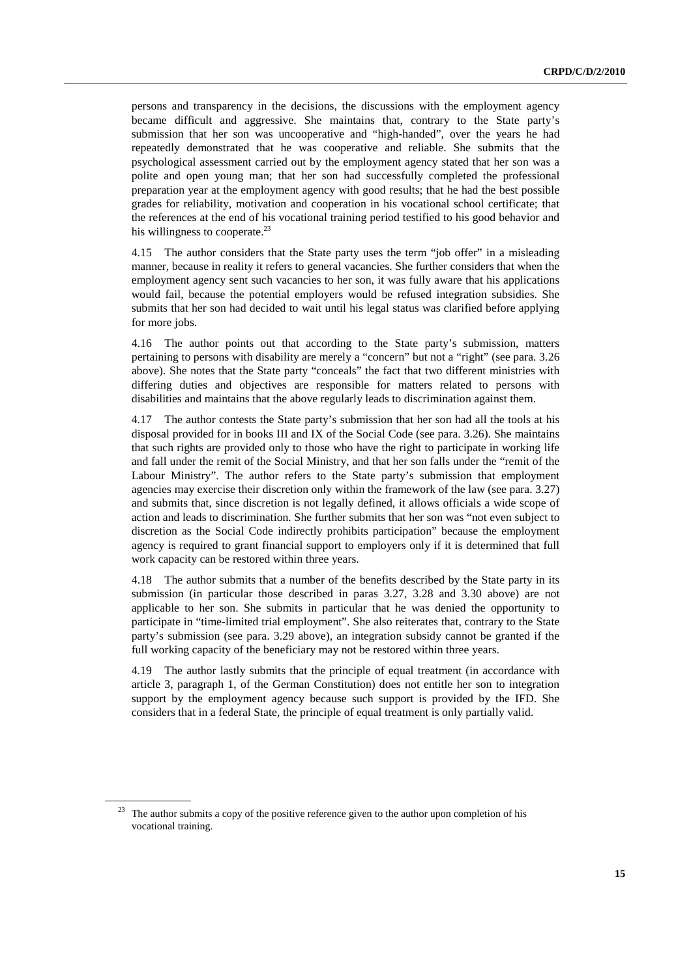persons and transparency in the decisions, the discussions with the employment agency became difficult and aggressive. She maintains that, contrary to the State party's submission that her son was uncooperative and "high-handed", over the years he had repeatedly demonstrated that he was cooperative and reliable. She submits that the psychological assessment carried out by the employment agency stated that her son was a polite and open young man; that her son had successfully completed the professional preparation year at the employment agency with good results; that he had the best possible grades for reliability, motivation and cooperation in his vocational school certificate; that the references at the end of his vocational training period testified to his good behavior and his willingness to cooperate. $^{23}$ 

4.15 The author considers that the State party uses the term "job offer" in a misleading manner, because in reality it refers to general vacancies. She further considers that when the employment agency sent such vacancies to her son, it was fully aware that his applications would fail, because the potential employers would be refused integration subsidies. She submits that her son had decided to wait until his legal status was clarified before applying for more jobs.

4.16 The author points out that according to the State party's submission, matters pertaining to persons with disability are merely a "concern" but not a "right" (see para. 3.26 above). She notes that the State party "conceals" the fact that two different ministries with differing duties and objectives are responsible for matters related to persons with disabilities and maintains that the above regularly leads to discrimination against them.

4.17 The author contests the State party's submission that her son had all the tools at his disposal provided for in books III and IX of the Social Code (see para. 3.26). She maintains that such rights are provided only to those who have the right to participate in working life and fall under the remit of the Social Ministry, and that her son falls under the "remit of the Labour Ministry". The author refers to the State party's submission that employment agencies may exercise their discretion only within the framework of the law (see para. 3.27) and submits that, since discretion is not legally defined, it allows officials a wide scope of action and leads to discrimination. She further submits that her son was "not even subject to discretion as the Social Code indirectly prohibits participation" because the employment agency is required to grant financial support to employers only if it is determined that full work capacity can be restored within three years.

4.18 The author submits that a number of the benefits described by the State party in its submission (in particular those described in paras 3.27, 3.28 and 3.30 above) are not applicable to her son. She submits in particular that he was denied the opportunity to participate in "time-limited trial employment". She also reiterates that, contrary to the State party's submission (see para. 3.29 above), an integration subsidy cannot be granted if the full working capacity of the beneficiary may not be restored within three years.

4.19 The author lastly submits that the principle of equal treatment (in accordance with article 3, paragraph 1, of the German Constitution) does not entitle her son to integration support by the employment agency because such support is provided by the IFD. She considers that in a federal State, the principle of equal treatment is only partially valid.

<sup>&</sup>lt;sup>23</sup> The author submits a copy of the positive reference given to the author upon completion of his vocational training.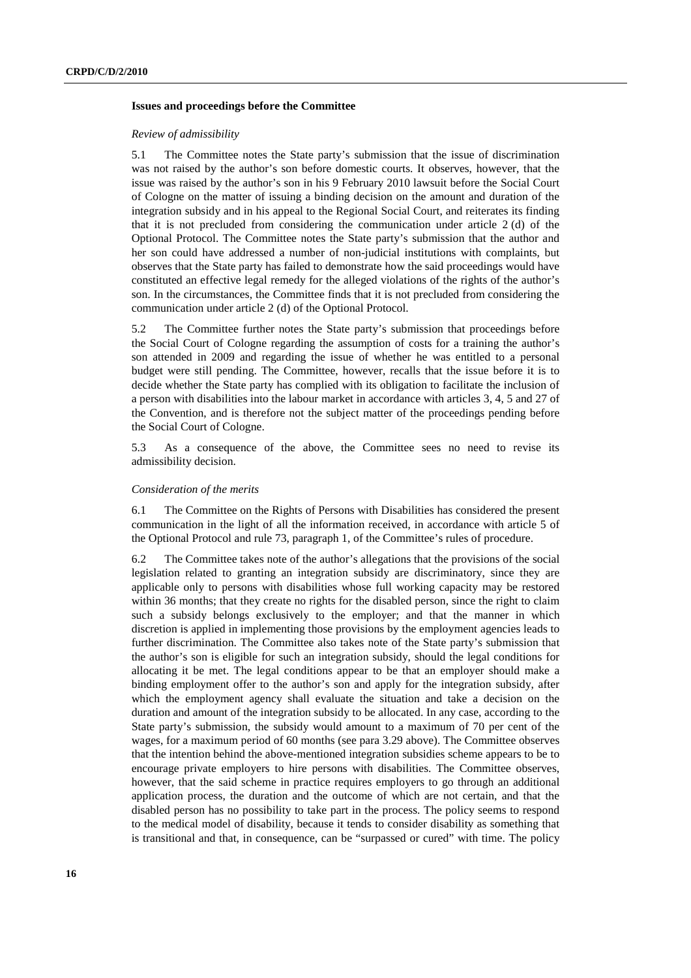### **Issues and proceedings before the Committee**

#### *Review of admissibility*

5.1 The Committee notes the State party's submission that the issue of discrimination was not raised by the author's son before domestic courts. It observes, however, that the issue was raised by the author's son in his 9 February 2010 lawsuit before the Social Court of Cologne on the matter of issuing a binding decision on the amount and duration of the integration subsidy and in his appeal to the Regional Social Court, and reiterates its finding that it is not precluded from considering the communication under article 2 (d) of the Optional Protocol. The Committee notes the State party's submission that the author and her son could have addressed a number of non-judicial institutions with complaints, but observes that the State party has failed to demonstrate how the said proceedings would have constituted an effective legal remedy for the alleged violations of the rights of the author's son. In the circumstances, the Committee finds that it is not precluded from considering the communication under article 2 (d) of the Optional Protocol.

5.2 The Committee further notes the State party's submission that proceedings before the Social Court of Cologne regarding the assumption of costs for a training the author's son attended in 2009 and regarding the issue of whether he was entitled to a personal budget were still pending. The Committee, however, recalls that the issue before it is to decide whether the State party has complied with its obligation to facilitate the inclusion of a person with disabilities into the labour market in accordance with articles 3, 4, 5 and 27 of the Convention, and is therefore not the subject matter of the proceedings pending before the Social Court of Cologne.

5.3 As a consequence of the above, the Committee sees no need to revise its admissibility decision.

#### *Consideration of the merits*

6.1 The Committee on the Rights of Persons with Disabilities has considered the present communication in the light of all the information received, in accordance with article 5 of the Optional Protocol and rule 73, paragraph 1, of the Committee's rules of procedure.

6.2 The Committee takes note of the author's allegations that the provisions of the social legislation related to granting an integration subsidy are discriminatory, since they are applicable only to persons with disabilities whose full working capacity may be restored within 36 months; that they create no rights for the disabled person, since the right to claim such a subsidy belongs exclusively to the employer; and that the manner in which discretion is applied in implementing those provisions by the employment agencies leads to further discrimination. The Committee also takes note of the State party's submission that the author's son is eligible for such an integration subsidy, should the legal conditions for allocating it be met. The legal conditions appear to be that an employer should make a binding employment offer to the author's son and apply for the integration subsidy, after which the employment agency shall evaluate the situation and take a decision on the duration and amount of the integration subsidy to be allocated. In any case, according to the State party's submission, the subsidy would amount to a maximum of 70 per cent of the wages, for a maximum period of 60 months (see para 3.29 above). The Committee observes that the intention behind the above-mentioned integration subsidies scheme appears to be to encourage private employers to hire persons with disabilities. The Committee observes, however, that the said scheme in practice requires employers to go through an additional application process, the duration and the outcome of which are not certain, and that the disabled person has no possibility to take part in the process. The policy seems to respond to the medical model of disability, because it tends to consider disability as something that is transitional and that, in consequence, can be "surpassed or cured" with time. The policy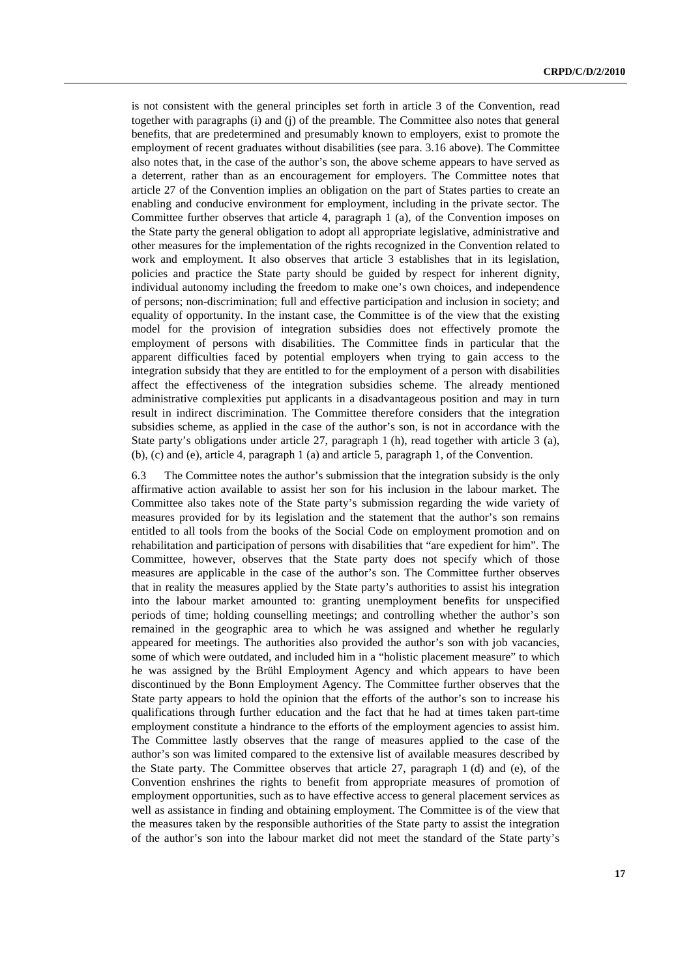is not consistent with the general principles set forth in article 3 of the Convention, read together with paragraphs (i) and (j) of the preamble. The Committee also notes that general benefits, that are predetermined and presumably known to employers, exist to promote the employment of recent graduates without disabilities (see para. 3.16 above). The Committee also notes that, in the case of the author's son, the above scheme appears to have served as a deterrent, rather than as an encouragement for employers. The Committee notes that article 27 of the Convention implies an obligation on the part of States parties to create an enabling and conducive environment for employment, including in the private sector. The Committee further observes that article 4, paragraph 1 (a), of the Convention imposes on the State party the general obligation to adopt all appropriate legislative, administrative and other measures for the implementation of the rights recognized in the Convention related to work and employment. It also observes that article 3 establishes that in its legislation, policies and practice the State party should be guided by respect for inherent dignity, individual autonomy including the freedom to make one's own choices, and independence of persons; non-discrimination; full and effective participation and inclusion in society; and equality of opportunity. In the instant case, the Committee is of the view that the existing model for the provision of integration subsidies does not effectively promote the employment of persons with disabilities. The Committee finds in particular that the apparent difficulties faced by potential employers when trying to gain access to the integration subsidy that they are entitled to for the employment of a person with disabilities affect the effectiveness of the integration subsidies scheme. The already mentioned administrative complexities put applicants in a disadvantageous position and may in turn result in indirect discrimination. The Committee therefore considers that the integration subsidies scheme, as applied in the case of the author's son, is not in accordance with the State party's obligations under article 27, paragraph 1 (h), read together with article 3 (a), (b), (c) and (e), article 4, paragraph 1 (a) and article 5, paragraph 1, of the Convention.

6.3 The Committee notes the author's submission that the integration subsidy is the only affirmative action available to assist her son for his inclusion in the labour market. The Committee also takes note of the State party's submission regarding the wide variety of measures provided for by its legislation and the statement that the author's son remains entitled to all tools from the books of the Social Code on employment promotion and on rehabilitation and participation of persons with disabilities that "are expedient for him". The Committee, however, observes that the State party does not specify which of those measures are applicable in the case of the author's son. The Committee further observes that in reality the measures applied by the State party's authorities to assist his integration into the labour market amounted to: granting unemployment benefits for unspecified periods of time; holding counselling meetings; and controlling whether the author's son remained in the geographic area to which he was assigned and whether he regularly appeared for meetings. The authorities also provided the author's son with job vacancies, some of which were outdated, and included him in a "holistic placement measure" to which he was assigned by the Brühl Employment Agency and which appears to have been discontinued by the Bonn Employment Agency. The Committee further observes that the State party appears to hold the opinion that the efforts of the author's son to increase his qualifications through further education and the fact that he had at times taken part-time employment constitute a hindrance to the efforts of the employment agencies to assist him. The Committee lastly observes that the range of measures applied to the case of the author's son was limited compared to the extensive list of available measures described by the State party. The Committee observes that article 27, paragraph 1 (d) and (e), of the Convention enshrines the rights to benefit from appropriate measures of promotion of employment opportunities, such as to have effective access to general placement services as well as assistance in finding and obtaining employment. The Committee is of the view that the measures taken by the responsible authorities of the State party to assist the integration of the author's son into the labour market did not meet the standard of the State party's